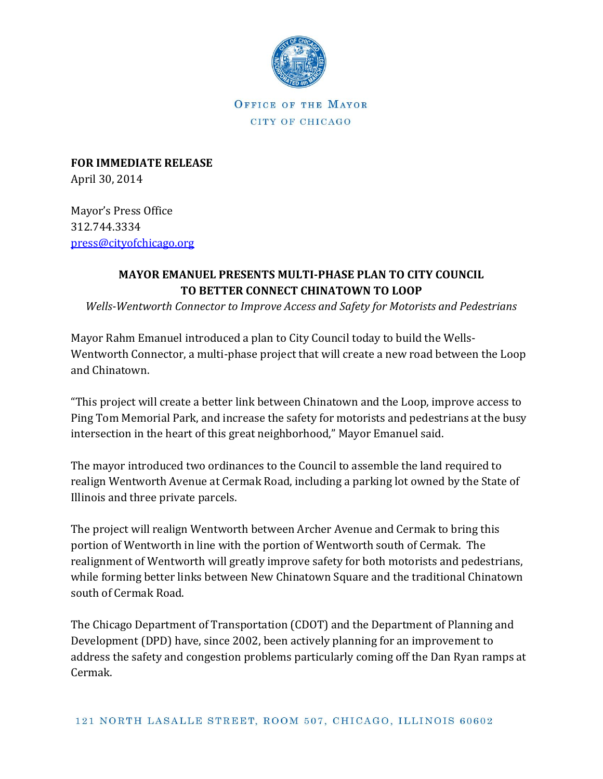

OFFICE OF THE MAYOR CITY OF CHICAGO

**FOR IMMEDIATE RELEASE** April 30, 2014

Mayor's Press Office 312.744.3334 [press@cityofchicago.org](mailto:press@cityofchicago.org)

## **MAYOR EMANUEL PRESENTS MULTI-PHASE PLAN TO CITY COUNCIL TO BETTER CONNECT CHINATOWN TO LOOP**

*Wells-Wentworth Connector to Improve Access and Safety for Motorists and Pedestrians*

Mayor Rahm Emanuel introduced a plan to City Council today to build the Wells-Wentworth Connector, a multi-phase project that will create a new road between the Loop and Chinatown.

"This project will create a better link between Chinatown and the Loop, improve access to Ping Tom Memorial Park, and increase the safety for motorists and pedestrians at the busy intersection in the heart of this great neighborhood," Mayor Emanuel said.

The mayor introduced two ordinances to the Council to assemble the land required to realign Wentworth Avenue at Cermak Road, including a parking lot owned by the State of Illinois and three private parcels.

The project will realign Wentworth between Archer Avenue and Cermak to bring this portion of Wentworth in line with the portion of Wentworth south of Cermak. The realignment of Wentworth will greatly improve safety for both motorists and pedestrians, while forming better links between New Chinatown Square and the traditional Chinatown south of Cermak Road.

The Chicago Department of Transportation (CDOT) and the Department of Planning and Development (DPD) have, since 2002, been actively planning for an improvement to address the safety and congestion problems particularly coming off the Dan Ryan ramps at Cermak.